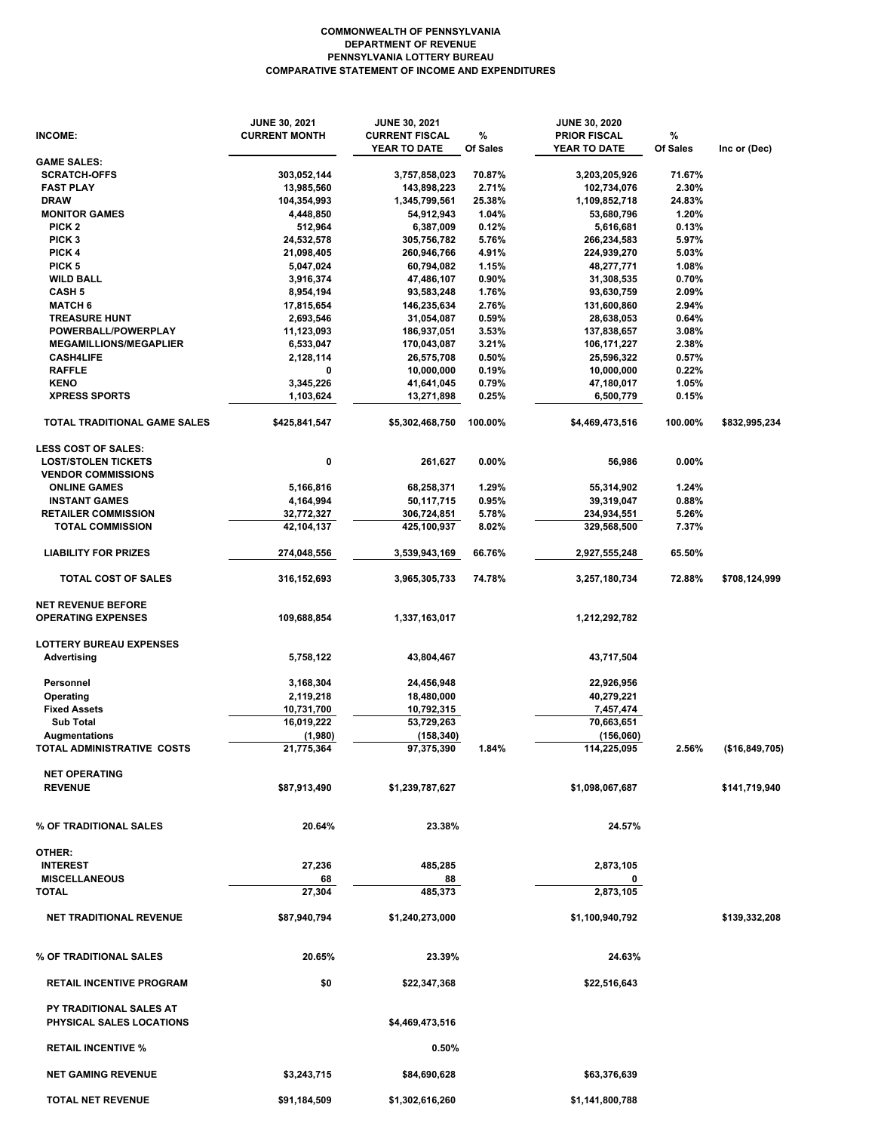## **COMMONWEALTH OF PENNSYLVANIA DEPARTMENT OF REVENUE PENNSYLVANIA LOTTERY BUREAU COMPARATIVE STATEMENT OF INCOME AND EXPENDITURES**

|                                                        | <b>JUNE 30, 2021</b>     | <b>JUNE 30, 2021</b>        |                 | <b>JUNE 30, 2020</b>        |                 |                |
|--------------------------------------------------------|--------------------------|-----------------------------|-----------------|-----------------------------|-----------------|----------------|
| INCOME:                                                | <b>CURRENT MONTH</b>     | <b>CURRENT FISCAL</b>       | %               | <b>PRIOR FISCAL</b>         | %               |                |
|                                                        |                          | YEAR TO DATE                | Of Sales        | YEAR TO DATE                | Of Sales        | Inc or (Dec)   |
| <b>GAME SALES:</b>                                     |                          |                             |                 |                             |                 |                |
| <b>SCRATCH-OFFS</b>                                    | 303,052,144              | 3,757,858,023               | 70.87%          | 3,203,205,926               | 71.67%          |                |
| <b>FAST PLAY</b><br><b>DRAW</b>                        | 13,985,560               | 143,898,223                 | 2.71%<br>25.38% | 102,734,076                 | 2.30%<br>24.83% |                |
| <b>MONITOR GAMES</b>                                   | 104,354,993<br>4,448,850 | 1,345,799,561<br>54,912,943 | 1.04%           | 1,109,852,718<br>53,680,796 | 1.20%           |                |
| PICK <sub>2</sub>                                      | 512,964                  | 6,387,009                   | 0.12%           | 5,616,681                   | 0.13%           |                |
| PICK <sub>3</sub>                                      | 24,532,578               | 305,756,782                 | 5.76%           | 266,234,583                 | 5.97%           |                |
| PICK 4                                                 |                          |                             | 4.91%           |                             | 5.03%           |                |
| PICK <sub>5</sub>                                      | 21,098,405<br>5,047,024  | 260,946,766<br>60,794,082   | 1.15%           | 224,939,270<br>48,277,771   | 1.08%           |                |
| <b>WILD BALL</b>                                       | 3,916,374                | 47,486,107                  | 0.90%           | 31,308,535                  | 0.70%           |                |
| <b>CASH 5</b>                                          | 8,954,194                | 93,583,248                  | 1.76%           | 93,630,759                  | 2.09%           |                |
| <b>MATCH 6</b>                                         |                          |                             | 2.76%           |                             | 2.94%           |                |
| <b>TREASURE HUNT</b>                                   | 17,815,654<br>2,693,546  | 146,235,634<br>31,054,087   | 0.59%           | 131,600,860<br>28,638,053   | 0.64%           |                |
| POWERBALL/POWERPLAY                                    | 11,123,093               | 186,937,051                 | 3.53%           | 137,838,657                 | 3.08%           |                |
| <b>MEGAMILLIONS/MEGAPLIER</b>                          | 6,533,047                | 170,043,087                 | 3.21%           | 106,171,227                 | 2.38%           |                |
| <b>CASH4LIFE</b>                                       | 2,128,114                | 26,575,708                  | 0.50%           | 25,596,322                  | 0.57%           |                |
|                                                        | 0                        |                             |                 |                             |                 |                |
| <b>RAFFLE</b><br><b>KENO</b>                           |                          | 10,000,000                  | 0.19%           | 10,000,000                  | 0.22%           |                |
| <b>XPRESS SPORTS</b>                                   | 3,345,226                | 41,641,045                  | 0.79%           | 47,180,017                  | 1.05%           |                |
|                                                        | 1,103,624                | 13,271,898                  | 0.25%           | 6,500,779                   | 0.15%           |                |
| <b>TOTAL TRADITIONAL GAME SALES</b>                    | \$425,841,547            | \$5,302,468,750             | 100.00%         | \$4,469,473,516             | 100.00%         | \$832,995,234  |
| <b>LESS COST OF SALES:</b>                             |                          |                             |                 |                             |                 |                |
| <b>LOST/STOLEN TICKETS</b>                             | 0                        | 261,627                     | 0.00%           | 56,986                      | $0.00\%$        |                |
| <b>VENDOR COMMISSIONS</b>                              |                          |                             |                 |                             |                 |                |
| <b>ONLINE GAMES</b>                                    | 5,166,816                | 68,258,371                  | 1.29%           | 55,314,902                  | 1.24%           |                |
| <b>INSTANT GAMES</b>                                   | 4,164,994                | 50,117,715                  | 0.95%           | 39,319,047                  | 0.88%           |                |
| <b>RETAILER COMMISSION</b>                             | 32,772,327               | 306,724,851                 | 5.78%           | 234,934,551                 | 5.26%           |                |
| <b>TOTAL COMMISSION</b>                                | 42,104,137               | 425,100,937                 | 8.02%           | 329,568,500                 | 7.37%           |                |
| <b>LIABILITY FOR PRIZES</b>                            | 274,048,556              |                             | 66.76%          |                             | 65.50%          |                |
|                                                        |                          | 3,539,943,169               |                 | 2,927,555,248               |                 |                |
| <b>TOTAL COST OF SALES</b>                             | 316,152,693              | 3,965,305,733               | 74.78%          | 3,257,180,734               | 72.88%          | \$708,124,999  |
| <b>NET REVENUE BEFORE</b><br><b>OPERATING EXPENSES</b> | 109,688,854              | 1,337,163,017               |                 | 1,212,292,782               |                 |                |
|                                                        |                          |                             |                 |                             |                 |                |
| <b>LOTTERY BUREAU EXPENSES</b>                         |                          |                             |                 |                             |                 |                |
| <b>Advertising</b>                                     | 5,758,122                | 43,804,467                  |                 | 43,717,504                  |                 |                |
|                                                        |                          |                             |                 |                             |                 |                |
| Personnel                                              | 3,168,304                | 24,456,948                  |                 | 22,926,956                  |                 |                |
| Operating                                              | 2,119,218                | 18,480,000                  |                 | 40,279,221                  |                 |                |
| <b>Fixed Assets</b>                                    | 10,731,700               | 10,792,315                  |                 | 7,457,474                   |                 |                |
| <b>Sub Total</b>                                       | 16,019,222               | 53,729,263                  |                 | 70,663,651                  |                 |                |
| <b>Augmentations</b>                                   | (1,980)                  | (158, 340)                  |                 | (156,060)                   |                 |                |
| TOTAL ADMINISTRATIVE COSTS                             | 21,775,364               | 97,375,390                  | 1.84%           | 114,225,095                 | 2.56%           | (\$16,849,705) |
|                                                        |                          |                             |                 |                             |                 |                |
| <b>NET OPERATING</b>                                   |                          |                             |                 |                             |                 |                |
| <b>REVENUE</b>                                         | \$87,913,490             | \$1,239,787,627             |                 | \$1,098,067,687             |                 | \$141,719,940  |
|                                                        |                          |                             |                 |                             |                 |                |
| % OF TRADITIONAL SALES                                 | 20.64%                   | 23.38%                      |                 | 24.57%                      |                 |                |
|                                                        |                          |                             |                 |                             |                 |                |
| OTHER:                                                 |                          |                             |                 |                             |                 |                |
| <b>INTEREST</b>                                        | 27,236                   | 485,285                     |                 | 2,873,105                   |                 |                |
| <b>MISCELLANEOUS</b>                                   | 68                       | 88                          |                 | 0                           |                 |                |
| <b>TOTAL</b>                                           | 27,304                   | 485,373                     |                 | 2,873,105                   |                 |                |
|                                                        |                          |                             |                 |                             |                 |                |
| <b>NET TRADITIONAL REVENUE</b>                         | \$87,940,794             | \$1,240,273,000             |                 | \$1,100,940,792             |                 | \$139,332,208  |
|                                                        |                          |                             |                 |                             |                 |                |
| % OF TRADITIONAL SALES                                 | 20.65%                   | 23.39%                      |                 | 24.63%                      |                 |                |
| <b>RETAIL INCENTIVE PROGRAM</b>                        | \$0                      | \$22,347,368                |                 | \$22,516,643                |                 |                |
| PY TRADITIONAL SALES AT<br>PHYSICAL SALES LOCATIONS    |                          | \$4,469,473,516             |                 |                             |                 |                |
|                                                        |                          |                             |                 |                             |                 |                |
| <b>RETAIL INCENTIVE %</b>                              |                          | 0.50%                       |                 |                             |                 |                |
| <b>NET GAMING REVENUE</b>                              | \$3,243,715              | \$84,690,628                |                 | \$63,376,639                |                 |                |
| <b>TOTAL NET REVENUE</b>                               | \$91,184,509             | \$1,302,616,260             |                 | \$1,141,800,788             |                 |                |